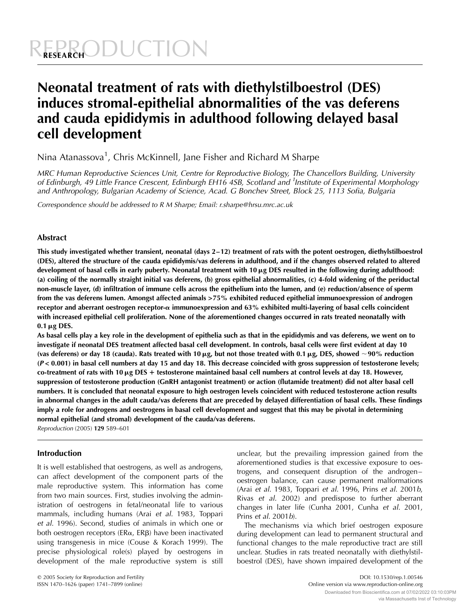# Neonatal treatment of rats with diethylstilboestrol (DES) induces stromal-epithelial abnormalities of the vas deferens and cauda epididymis in adulthood following delayed basal cell development

Nina Atanassova<sup>1</sup>, Chris McKinnell, Jane Fisher and Richard M Sharpe

MRC Human Reproductive Sciences Unit, Centre for Reproductive Biology, The Chancellors Building, University of Edinburgh, 49 Little France Crescent, Edinburgh EH16 4SB, Scotland and <sup>1</sup>Institute of Experimental Morphology and Anthropology, Bulgarian Academy of Science, Acad. G Bonchev Street, Block 25, 1113 Sofia, Bulgaria

Correspondence should be addressed to R M Sharpe; Email: r.sharpe@hrsu.mrc.ac.uk

## Abstract

This study investigated whether transient, neonatal (days 2–12) treatment of rats with the potent oestrogen, diethylstilboestrol (DES), altered the structure of the cauda epididymis/vas deferens in adulthood, and if the changes observed related to altered development of basal cells in early puberty. Neonatal treatment with  $10 \mu$ g DES resulted in the following during adulthood: (a) coiling of the normally straight initial vas deferens, (b) gross epithelial abnormalities, (c) 4-fold widening of the periductal non-muscle layer, (d) infiltration of immune cells across the epithelium into the lumen, and (e) reduction/absence of sperm from the vas deferens lumen. Amongst affected animals >75% exhibited reduced epithelial immunoexpression of androgen receptor and aberrant oestrogen receptor- $\alpha$  immunoexpression and 63% exhibited multi-layering of basal cells coincident with increased epithelial cell proliferation. None of the aforementioned changes occurred in rats treated neonatally with  $0.1 \mu g$  DES.

As basal cells play a key role in the development of epithelia such as that in the epididymis and vas deferens, we went on to investigate if neonatal DES treatment affected basal cell development. In controls, basal cells were first evident at day 10 (vas deferens) or day 18 (cauda). Rats treated with 10 µg, but not those treated with 0.1 µg, DES, showed  $\sim$ 90% reduction (P < 0.001) in basal cell numbers at day 15 and day 18. This decrease coincided with gross suppression of testosterone levels; co-treatment of rats with 10  $\mu$ g DES + testosterone maintained basal cell numbers at control levels at day 18. However, suppression of testosterone production (GnRH antagonist treatment) or action (flutamide treatment) did not alter basal cell numbers. It is concluded that neonatal exposure to high oestrogen levels coincident with reduced testosterone action results in abnormal changes in the adult cauda/vas deferens that are preceded by delayed differentiation of basal cells. These findings imply a role for androgens and oestrogens in basal cell development and suggest that this may be pivotal in determining normal epithelial (and stromal) development of the cauda/vas deferens.

Reproduction (2005) 129 589–601

# Introduction

It is well established that oestrogens, as well as androgens, can affect development of the component parts of the male reproductive system. This information has come from two main sources. First, studies involving the administration of oestrogens in fetal/neonatal life to various mammals, including humans (Arai et al. 1983, Toppari et al. 1996). Second, studies of animals in which one or both oestrogen receptors ( $ER\alpha$ ,  $ER\beta$ ) have been inactivated using transgenesis in mice (Couse & Korach 1999). The precise physiological role(s) played by oestrogens in development of the male reproductive system is still

unclear, but the prevailing impression gained from the aforementioned studies is that excessive exposure to oestrogens, and consequent disruption of the androgen– oestrogen balance, can cause permanent malformations (Arai et al. 1983, Toppari et al. 1996, Prins et al. 2001b, Rivas et al. 2002) and predispose to further aberrant changes in later life (Cunha 2001, Cunha et al. 2001, Prins et al. 2001b).

The mechanisms via which brief oestrogen exposure during development can lead to permanent structural and functional changes to the male reproductive tract are still unclear. Studies in rats treated neonatally with diethylstilboestrol (DES), have shown impaired development of the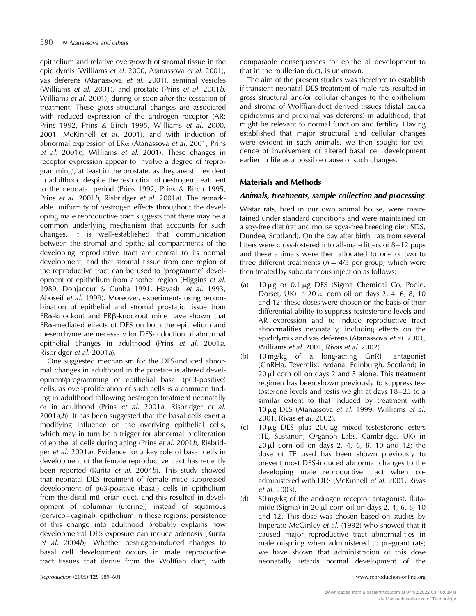epithelium and relative overgrowth of stromal tissue in the epididymis (Williams et al. 2000, Atanassova et al. 2001), vas deferens (Atanassova et al. 2001), seminal vesicles (Williams et al. 2001), and prostate (Prins et al. 2001b, Williams et al. 2001), during or soon after the cessation of treatment. These gross structural changes are associated with reduced expression of the androgen receptor (AR; Prins 1992, Prins & Birch 1995, Williams et al. 2000, 2001, McKinnell et al. 2001), and with induction of abnormal expression of  $ER\alpha$  (Atanassova et al. 2001, Prins et al. 2001b, Williams et al. 2001). These changes in receptor expression appear to involve a degree of 'reprogramming', at least in the prostate, as they are still evident in adulthood despite the restriction of oestrogen treatment to the neonatal period (Prins 1992, Prins & Birch 1995, Prins et al. 2001b, Risbridger et al. 2001a). The remarkable uniformity of oestrogen effects throughout the developing male reproductive tract suggests that there may be a common underlying mechanism that accounts for such changes. It is well-established that communication between the stromal and epithelial compartments of the developing reproductive tract are central to its normal development, and that stromal tissue from one region of the reproductive tract can be used to 'programme' development of epithelium from another region (Higgins et al. 1989, Donjacour & Cunha 1991, Hayashi et al. 1993, Aboseif et al. 1999). Moreover, experiments using recombination of epithelial and stromal prostatic tissue from  $ER\alpha$ -knockout and  $ER\beta$ -knockout mice have shown that  $ER\alpha$ -mediated effects of DES on both the epithelium and mesenchyme are necessary for DES-induction of abnormal epithelial changes in adulthood (Prins et al. 2001a, Risbridger et al. 2001a).

One suggested mechanism for the DES-induced abnormal changes in adulthood in the prostate is altered development/programming of epithelial basal (p63-positive) cells, as over-proliferation of such cells is a common finding in adulthood following oestrogen treatment neonatally or in adulthood (Prins et al. 2001a, Risbridger et al.  $2001a$ , b). It has been suggested that the basal cells exert a modifying influence on the overlying epithelial cells, which may in turn be a trigger for abnormal proliferation of epithelial cells during aging (Prins et al. 2001b, Risbridger et al. 2001a). Evidence for a key role of basal cells in development of the female reproductive tract has recently been reported (Kurita et al. 2004b). This study showed that neonatal DES treatment of female mice suppressed development of p63-positive (basal) cells in epithelium from the distal müllerian duct, and this resulted in development of columnar (uterine), instead of squamous (cervico–vaginal), epithelium in these regions; persistence of this change into adulthood probably explains how developmental DES exposure can induce adenosis (Kurita et al. 2004b). Whether oestrogen-induced changes to basal cell development occurs in male reproductive tract tissues that derive from the Wolffian duct, with

comparable consequences for epithelial development to that in the müllerian duct, is unknown.

The aim of the present studies was therefore to establish if transient neonatal DES treatment of male rats resulted in gross structural and/or cellular changes to the epithelium and stroma of Wolffian-duct derived tissues (distal cauda epididymis and proximal vas deferens) in adulthood, that might be relevant to normal function and fertility. Having established that major structural and cellular changes were evident in such animals, we then sought for evidence of involvement of altered basal cell development earlier in life as a possible cause of such changes.

# Materials and Methods

## Animals, treatments, sample collection and processing

Wistar rats, bred in our own animal house, were maintained under standard conditions and were maintained on a soy-free diet (rat and mouse soya-free breeding diet; SDS, Dundee, Scotland). On the day after birth, rats from several litters were cross-fostered into all-male litters of 8–12 pups and these animals were then allocated to one of two to three different treatments ( $n = 4/5$  per group) which were then treated by subcutaneous injection as follows:

- (a)  $10 \mu$ g or 0.1  $\mu$ g DES (Sigma Chemical Co, Poole, Dorset, UK) in  $20 \mu l$  corn oil on days 2, 4, 6, 8, 10 and 12; these doses were chosen on the basis of their differential ability to suppress testosterone levels and AR expression and to induce reproductive tract abnormalities neonatally, including effects on the epididymis and vas deferens (Atanassova et al. 2001, Williams et al. 2001, Rivas et al. 2002).
- (b) 10 mg/kg of a long-acting GnRH antagonist (GnRHa, Teverelix; Ardana, Edinburgh, Scotland) in  $20 \mu$  corn oil on days 2 and 5 alone. This treatment regimen has been shown previously to suppress testosterone levels and testis weight at days 18–25 to a similar extent to that induced by treatment with  $10 \mu$ g DES (Atanassova et al. 1999, Williams et al. 2001, Rivas et al. 2002).
- (c)  $10 \mu$ g DES plus  $200 \mu$ g mixed testosterone esters (TE, Sustanon; Organon Labs, Cambridge, UK) in  $20 \mu l$  corn oil on days 2, 4, 6, 8, 10 and 12; the dose of TE used has been shown previously to prevent most DES-induced abnormal changes to the developing male reproductive tract when coadministered with DES (McKinnell et al. 2001, Rivas et al. 2003).
- (d) 50 mg/kg of the androgen receptor antagonist, flutamide (Sigma) in  $20 \mu l$  corn oil on days 2, 4, 6, 8, 10 and 12. This dose was chosen based on studies by Imperato-McGinley et al. (1992) who showed that it caused major reproductive tract abnormalities in male offspring when administered to pregnant rats; we have shown that administration of this dose neonatally retards normal development of the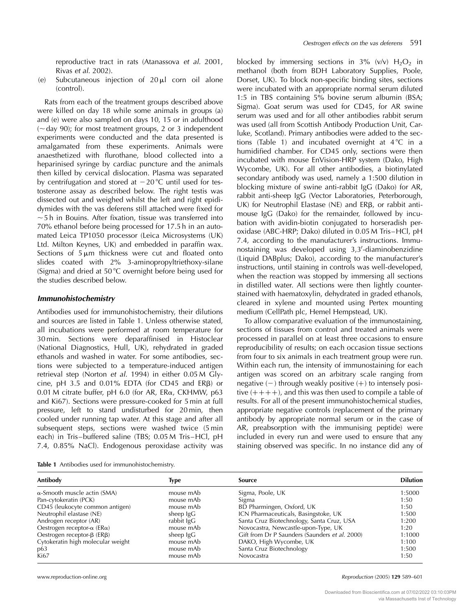reproductive tract in rats (Atanassova et al. 2001, Rivas et al. 2002).

(e) Subcutaneous injection of  $20 \mu l$  corn oil alone (control).

Rats from each of the treatment groups described above were killed on day 18 while some animals in groups (a) and (e) were also sampled on days 10, 15 or in adulthood  $(-day 90)$ ; for most treatment groups, 2 or 3 independent experiments were conducted and the data presented is amalgamated from these experiments. Animals were anaesthetized with flurothane, blood collected into a heparinised syringe by cardiac puncture and the animals then killed by cervical dislocation. Plasma was separated by centrifugation and stored at  $-20^{\circ}$ C until used for testosterone assay as described below. The right testis was dissected out and weighed whilst the left and right epididymides with the vas deferens still attached were fixed for  $\sim$  5 h in Bouins. After fixation, tissue was transferred into 70% ethanol before being processed for 17.5 h in an automated Leica TP1050 processor (Leica Microsystems (UK) Ltd. Milton Keynes, UK) and embedded in paraffin wax. Sections of  $5 \mu m$  thickness were cut and floated onto slides coated with 2% 3-aminopropyltriethoxy-silane (Sigma) and dried at  $50^{\circ}$ C overnight before being used for the studies described below.

#### Immunohistochemistry

Antibodies used for immunohistochemistry, their dilutions and sources are listed in Table 1. Unless otherwise stated, all incubations were performed at room temperature for 30 min. Sections were deparaffinised in Histoclear (National Diagnostics, Hull, UK), rehydrated in graded ethanols and washed in water. For some antibodies, sections were subjected to a temperature-induced antigen retrieval step (Norton et al. 1994) in either 0.05 M Glycine, pH 3.5 and 0.01% EDTA (for CD45 and ER $\beta$ ) or 0.01 M citrate buffer, pH 6.0 (for AR,  $ER\alpha$ , CKHMW, p63 and Ki67). Sections were pressure-cooked for 5 min at full pressure, left to stand undisturbed for 20 min, then cooled under running tap water. At this stage and after all subsequent steps, sections were washed twice (5 min each) in Tris–buffered saline (TBS; 0.05 M Tris–HCl, pH 7.4, 0.85% NaCl). Endogenous peroxidase activity was blocked by immersing sections in  $3\%$  (v/v)  $H_2O_2$  in methanol (both from BDH Laboratory Supplies, Poole, Dorset, UK). To block non-specific binding sites, sections were incubated with an appropriate normal serum diluted 1:5 in TBS containing 5% bovine serum albumin (BSA; Sigma). Goat serum was used for CD45, for AR swine serum was used and for all other antibodies rabbit serum was used (all from Scottish Antibody Production Unit, Carluke, Scotland). Primary antibodies were added to the sections (Table 1) and incubated overnight at  $4^{\circ}$ C in a humidified chamber. For CD45 only, sections were then incubated with mouse EnVision-HRP system (Dako, High Wycombe, UK). For all other antibodies, a biotinylated secondary antibody was used, namely a 1:500 dilution in blocking mixture of swine anti-rabbit IgG (Dako) for AR, rabbit anti-sheep IgG (Vector Laboratories, Peterborough, UK) for Neutrophil Elastase (NE) and ERB, or rabbit antimouse IgG (Dako) for the remainder, followed by incubation with avidin-biotin conjugated to horseradish peroxidase (ABC-HRP; Dako) diluted in 0.05 M Tris–HCl, pH 7.4, according to the manufacturer's instructions. Immunostaining was developed using 3,3'-diaminobenzidine (Liquid DABplus; Dako), according to the manufacturer's instructions, until staining in controls was well-developed, when the reaction was stopped by immersing all sections in distilled water. All sections were then lightly counterstained with haematoxylin, dehydrated in graded ethanols, cleared in xylene and mounted using Pertex mounting medium (CellPath plc, Hemel Hempstead, UK).

To allow comparative evaluation of the immunostaining, sections of tissues from control and treated animals were processed in parallel on at least three occasions to ensure reproducibility of results; on each occasion tissue sections from four to six animals in each treatment group were run. Within each run, the intensity of immunostaining for each antigen was scored on an arbitrary scale ranging from negative  $(-)$  through weakly positive  $(+)$  to intensely positive  $(+++)$ , and this was then used to compile a table of results. For all of the present immunohistochemical studies, appropriate negative controls (replacement of the primary antibody by appropriate normal serum or in the case of AR, preabsorption with the immunising peptide) were included in every run and were used to ensure that any staining observed was specific. In no instance did any of

|  |  |  | Table 1 Antibodies used for immunohistochemistry. |  |
|--|--|--|---------------------------------------------------|--|
|--|--|--|---------------------------------------------------|--|

| Antibody                                    | Type          | Source                                         | <b>Dilution</b> |
|---------------------------------------------|---------------|------------------------------------------------|-----------------|
| $\alpha$ -Smooth muscle actin (SMA)         | mouse mAb     | Sigma, Poole, UK                               | 1:5000          |
| Pan-cytokeratin (PCK)                       | mouse mAb     | Sigma                                          | 1:50            |
| CD45 (leukocyte common antigen)             | mouse mAb     | BD Pharmingen, Oxford, UK                      | 1:50            |
| Neutrophil elastase (NE)                    | sheep $\lg G$ | ICN Pharmaceuticals, Basingstoke, UK           | 1:500           |
| Androgen receptor (AR)                      | rabbit IgG    | Santa Cruz Biotechnology, Santa Cruz, USA      | 1:200           |
| Oestrogen receptor- $\alpha$ (ER $\alpha$ ) | mouse mAb     | Novocastra, Newcastle-upon-Type, UK            | 1:20            |
| Oestrogen receptor- $\beta$ (ER $\beta$ )   | sheep $\lg G$ | Gift from Dr P Saunders (Saunders et al. 2000) | 1:1000          |
| Cytokeratin high molecular weight           | mouse mAb     | DAKO, High Wycombe, UK                         | 1:100           |
| p63                                         | mouse mAb     | Santa Cruz Biotechnology                       | 1:500           |
| Ki67                                        | mouse mAb     | <b>Novocastra</b>                              | 1:50            |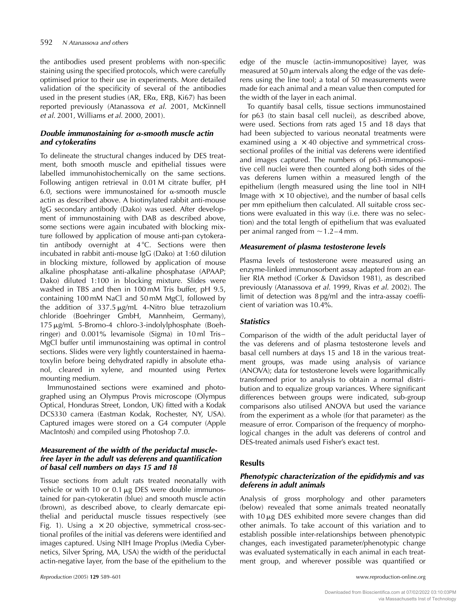the antibodies used present problems with non-specific staining using the specified protocols, which were carefully optimised prior to their use in experiments. More detailed validation of the specificity of several of the antibodies used in the present studies (AR, ER $\alpha$ , ER $\beta$ , Ki67) has been reported previously (Atanassova et al. 2001, McKinnell et al. 2001, Williams et al. 2000, 2001).

## Double immunostaining for  $\alpha$ -smooth muscle actin and cytokeratins

To delineate the structural changes induced by DES treatment, both smooth muscle and epithelial tissues were labelled immunohistochemically on the same sections. Following antigen retrieval in 0.01 M citrate buffer, pH 6.0, sections were immunostained for  $\alpha$ -smooth muscle actin as described above. A biotinylated rabbit anti-mouse IgG secondary antibody (Dako) was used. After development of immunostaining with DAB as described above, some sections were again incubated with blocking mixture followed by application of mouse anti-pan cytokeratin antibody overnight at  $4^{\circ}$ C. Sections were then incubated in rabbit anti-mouse IgG (Dako) at 1:60 dilution in blocking mixture, followed by application of mouse alkaline phosphatase anti-alkaline phosphatase (APAAP; Dako) diluted 1:100 in blocking mixture. Slides were washed in TBS and then in 100 mM Tris buffer, pH 9.5, containing 100 mM NaCl and 50 mM MgCl, followed by the addition of  $337.5 \mu$ g/mL 4-Nitro blue tetrazolium chloride (Boehringer GmbH, Mannheim, Germany),  $175 \mu$ g/mL 5-Bromo-4 chloro-3-indolylphosphate (Boehringer) and 0.001% levamisole (Sigma) in 10 ml Tris– MgCl buffer until immunostaining was optimal in control sections. Slides were very lightly counterstained in haematoxylin before being dehydrated rapidly in absolute ethanol, cleared in xylene, and mounted using Pertex mounting medium.

Immunostained sections were examined and photographed using an Olympus Provis microscope (Olympus Optical, Honduras Street, London, UK) fitted with a Kodak DCS330 camera (Eastman Kodak, Rochester, NY, USA). Captured images were stored on a G4 computer (Apple MacIntosh) and compiled using Photoshop 7.0.

## Measurement of the width of the periductal musclefree layer in the adult vas deferens and quantification of basal cell numbers on days 15 and 18

Tissue sections from adult rats treated neonatally with vehicle or with 10 or 0.1  $\mu$ g DES were double immunostained for pan-cytokeratin (blue) and smooth muscle actin (brown), as described above, to clearly demarcate epithelial and periductal muscle tissues respectively (see Fig. 1). Using a  $\times$  20 objective, symmetrical cross-sectional profiles of the initial vas deferens were identified and images captured. Using NIH Image Proplus (Media Cybernetics, Silver Spring, MA, USA) the width of the periductal actin-negative layer, from the base of the epithelium to the edge of the muscle (actin-immunopositive) layer, was measured at 50  $\mu$ m intervals along the edge of the vas deferens using the line tool; a total of 50 measurements were made for each animal and a mean value then computed for the width of the layer in each animal.

To quantify basal cells, tissue sections immunostained for p63 (to stain basal cell nuclei), as described above, were used. Sections from rats aged 15 and 18 days that had been subjected to various neonatal treatments were examined using a  $\times$  40 objective and symmetrical crosssectional profiles of the initial vas deferens were identified and images captured. The numbers of p63-immunopositive cell nuclei were then counted along both sides of the vas deferens lumen within a measured length of the epithelium (length measured using the line tool in NIH Image with  $\times$  10 objective), and the number of basal cells per mm epithelium then calculated. All suitable cross sections were evaluated in this way (i.e. there was no selection) and the total length of epithelium that was evaluated per animal ranged from  $\sim$  1.2–4 mm.

## Measurement of plasma testosterone levels

Plasma levels of testosterone were measured using an enzyme-linked immunosorbent assay adapted from an earlier RIA method (Corker & Davidson 1981), as described previously (Atanassova et al. 1999, Rivas et al. 2002). The limit of detection was 8 pg/ml and the intra-assay coefficient of variation was 10.4%.

## **Statistics**

Comparison of the width of the adult periductal layer of the vas deferens and of plasma testosterone levels and basal cell numbers at days 15 and 18 in the various treatment groups, was made using analysis of variance (ANOVA); data for testosterone levels were logarithmically transformed prior to analysis to obtain a normal distribution and to equalize group variances. Where significant differences between groups were indicated, sub-group comparisons also utilised ANOVA but used the variance from the experiment as a whole (for that parameter) as the measure of error. Comparison of the frequency of morphological changes in the adult vas deferens of control and DES-treated animals used Fisher's exact test.

## Results

## Phenotypic characterization of the epididymis and vas deferens in adult animals

Analysis of gross morphology and other parameters (below) revealed that some animals treated neonatally with  $10 \mu$ g DES exhibited more severe changes than did other animals. To take account of this variation and to establish possible inter-relationships between phenotypic changes, each investigated parameter/phenotypic change was evaluated systematically in each animal in each treatment group, and wherever possible was quantified or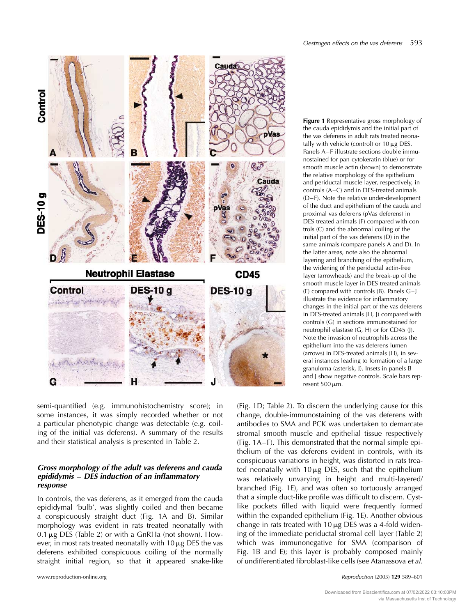

Oestrogen effects on the vas deferens 593

Figure 1 Representative gross morphology of the cauda epididymis and the initial part of the vas deferens in adult rats treated neonatally with vehicle (control) or  $10 \mu$ g DES. Panels A–F illustrate sections double immunostained for pan-cytokeratin (blue) or for smooth muscle actin (brown) to demonstrate the relative morphology of the epithelium and periductal muscle layer, respectively, in controls (A–C) and in DES-treated animals (D–F). Note the relative under-development of the duct and epithelium of the cauda and proximal vas deferens (pVas deferens) in DES-treated animals (F) compared with controls (C) and the abnormal coiling of the initial part of the vas deferens (D) in the same animals (compare panels A and D). In the latter areas, note also the abnormal layering and branching of the epithelium, the widening of the periductal actin-free layer (arrowheads) and the break-up of the smooth muscle layer in DES-treated animals (E) compared with controls (B). Panels G–J illustrate the evidence for inflammatory changes in the initial part of the vas deferens in DES-treated animals (H, J) compared with controls (G) in sections immunostained for neutrophil elastase (G, H) or for CD45 (J). Note the invasion of neutrophils across the epithelium into the vas deferens lumen (arrows) in DES-treated animals (H), in several instances leading to formation of a large granuloma (asterisk, J). Insets in panels B and J show negative controls. Scale bars represent  $500 \,\mathrm{\upmu m}$ .

semi-quantified (e.g. immunohistochemistry score); in some instances, it was simply recorded whether or not a particular phenotypic change was detectable (e.g. coiling of the initial vas deferens). A summary of the results and their statistical analysis is presented in Table 2.

#### Gross morphology of the adult vas deferens and cauda epididymis – DES induction of an inflammatory response

In controls, the vas deferens, as it emerged from the cauda epididymal 'bulb', was slightly coiled and then became a conspicuously straight duct (Fig. 1A and B). Similar morphology was evident in rats treated neonatally with  $0.1 \mu$ g DES (Table 2) or with a GnRHa (not shown). However, in most rats treated neonatally with  $10 \mu$ g DES the vas deferens exhibited conspicuous coiling of the normally straight initial region, so that it appeared snake-like (Fig. 1D; Table 2). To discern the underlying cause for this change, double-immunostaining of the vas deferens with antibodies to SMA and PCK was undertaken to demarcate stromal smooth muscle and epithelial tissue respectively (Fig. 1A–F). This demonstrated that the normal simple epithelium of the vas deferens evident in controls, with its conspicuous variations in height, was distorted in rats treated neonatally with  $10 \mu$ g DES, such that the epithelium was relatively unvarying in height and multi-layered/ branched (Fig. 1E), and was often so tortuously arranged that a simple duct-like profile was difficult to discern. Cystlike pockets filled with liquid were frequently formed within the expanded epithelium (Fig. 1E). Another obvious change in rats treated with  $10 \mu$ g DES was a 4-fold widening of the immediate periductal stromal cell layer (Table 2) which was immunonegative for SMA (comparison of Fig. 1B and E); this layer is probably composed mainly of undifferentiated fibroblast-like cells (see Atanassova et al.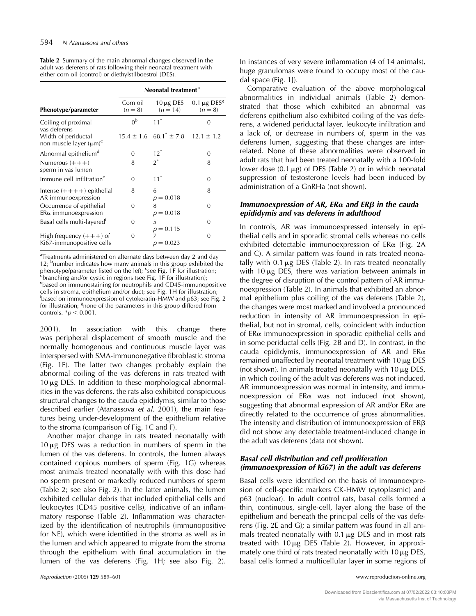|                                                         | Neonatal treatment <sup>a</sup> |                                                           |                                           |  |
|---------------------------------------------------------|---------------------------------|-----------------------------------------------------------|-------------------------------------------|--|
| <b>Phenotype/parameter</b>                              | Corn oil<br>$(n = 8)$           | $10 \mu g$ DES<br>$(n = 14)$                              | $0.1 \mu g$ DES <sup>8</sup><br>$(n = 8)$ |  |
| Coiling of proximal<br>vas deferens                     | 0 <sup>b</sup>                  | $11^*$                                                    | 0                                         |  |
| Width of periductal<br>non-muscle layer $(\mu m)^c$     |                                 | $15.4 \pm 1.6$ 68.1 <sup>*</sup> $\pm$ 7.8 12.1 $\pm$ 1.2 |                                           |  |
| Abnormal epithelium <sup>d</sup>                        | $\Omega$                        | $12^*$                                                    | $\Omega$                                  |  |
| Numerous $(+++)$<br>sperm in vas lumen                  | 8                               | $2^*$                                                     | 8                                         |  |
| Immune cell infiltration <sup>e</sup>                   | $\Omega$                        | $11^*$                                                    | 0                                         |  |
| Intense $(++++)$ epithelial<br>AR immunoexpression      | 8                               | 6<br>$p = 0.018$                                          | 8                                         |  |
| Occurrence of epithelial<br>$ER\alpha$ immunoexpression | 0                               | 8<br>$p = 0.018$                                          | 0                                         |  |
| Basal cells multi-layered <sup>f</sup>                  | 0                               | 5<br>$p = 0.115$                                          | $\Omega$                                  |  |
| High frequency $(+++)$ of<br>Ki67-immunopositive cells  | $\Omega$                        | $p = 0.023$                                               | $\Omega$                                  |  |

Table 2 Summary of the main abnormal changes observed in the adult vas deferens of rats following their neonatal treatment with either corn oil (control) or diethylstilboestrol (DES).

<sup>a</sup>Treatments administered on alternate days between day 2 and day 12; <sup>b</sup>number indicates how many animals in this group exhibited the phenotype/parameter listed on the left; <sup>c</sup>see Fig. 1F for illustration;  $\sigma$ <sup>d</sup>branching and/or cystic in regions (see Fig. 1F for illustration);  $\sigma$ <sup></sup> cells in stroma, epithelium and/or duct; see Fig. 1H for illustration; f based on immunoexpression of cytokeratin-HMW and p63; see Fig. 2 for illustration; <sup>g</sup>none of the parameters in this group differed from controls.  $p < 0.001$ .

2001). In association with this change there was peripheral displacement of smooth muscle and the normally homogenous and continuous muscle layer was interspersed with SMA-immunonegative fibroblastic stroma (Fig. 1E). The latter two changes probably explain the abnormal coiling of the vas deferens in rats treated with  $10 \mu$ g DES. In addition to these morphological abnormalities in the vas deferens, the rats also exhibited conspicuous structural changes to the cauda epididymis, similar to those described earlier (Atanassova et al. 2001), the main features being under-development of the epithelium relative to the stroma (comparison of Fig. 1C and F).

Another major change in rats treated neonatally with  $10 \mu$ g DES was a reduction in numbers of sperm in the lumen of the vas deferens. In controls, the lumen always contained copious numbers of sperm (Fig. 1G) whereas most animals treated neonatally with with this dose had no sperm present or markedly reduced numbers of sperm (Table 2; see also Fig. 2). In the latter animals, the lumen exhibited cellular debris that included epithelial cells and leukocytes (CD45 positive cells), indicative of an inflammatory response (Table 2). Inflammation was characterized by the identification of neutrophils (immunopositive for NE), which were identified in the stroma as well as in the lumen and which appeared to migrate from the stroma through the epithelium with final accumulation in the lumen of the vas deferens (Fig. 1H; see also Fig. 2). In instances of very severe inflammation (4 of 14 animals), huge granulomas were found to occupy most of the caudal space (Fig. 1J).

Comparative evaluation of the above morphological abnormalities in individual animals (Table 2) demonstrated that those which exhibited an abnormal vas deferens epithelium also exhibited coiling of the vas deferens, a widened periductal layer, leukocyte infiltration and a lack of, or decrease in numbers of, sperm in the vas deferens lumen, suggesting that these changes are interrelated. None of these abnormalities were observed in adult rats that had been treated neonatally with a 100-fold lower dose  $(0.1 \mu g)$  of DES (Table 2) or in which neonatal suppression of testosterone levels had been induced by administration of a GnRHa (not shown).

## Immunoexpression of AR, ER $\alpha$  and ER $\beta$  in the cauda epididymis and vas deferens in adulthood

In controls, AR was immunoexpressed intensely in epithelial cells and in sporadic stromal cells whereas no cells exhibited detectable immunoexpression of  $ER\alpha$  (Fig. 2A and C). A similar pattern was found in rats treated neonatally with  $0.1 \mu$ g DES (Table 2). In rats treated neonatally with  $10 \mu$ g DES, there was variation between animals in the degree of disruption of the control pattern of AR immunoexpression (Table 2). In animals that exhibited an abnormal epithelium plus coiling of the vas deferens (Table 2), the changes were most marked and involved a pronounced reduction in intensity of AR immunoexpression in epithelial, but not in stromal, cells, coincident with induction of ERa immunoexpression in sporadic epithelial cells and in some periductal cells (Fig. 2B and D). In contrast, in the cauda epididymis, immunoexpression of AR and  $ER\alpha$ remained unaffected by neonatal treatment with  $10 \mu$ g DES (not shown). In animals treated neonatally with  $10 \mu$ g DES, in which coiling of the adult vas deferens was not induced, AR immunoexpression was normal in intensity, and immunoexpression of  $ER\alpha$  was not induced (not shown), suggesting that abnormal expression of AR and/or  $ER\alpha$  are directly related to the occurrence of gross abnormalities. The intensity and distribution of immuno expression of  $ER\beta$ did not show any detectable treatment-induced change in the adult vas deferens (data not shown).

## Basal cell distribution and cell proliferation (immunoexpression of Ki67) in the adult vas deferens

Basal cells were identified on the basis of immunoexpresion of cell-specific markers CK-HMW (cytoplasmic) and p63 (nuclear). In adult control rats, basal cells formed a thin, continuous, single-cell, layer along the base of the epithelium and beneath the principal cells of the vas deferens (Fig. 2E and G); a similar pattern was found in all animals treated neonatally with  $0.1 \mu g$  DES and in most rats treated with  $10 \mu g$  DES (Table 2). However, in approximately one third of rats treated neonatally with  $10 \mu$ g DES, basal cells formed a multicellular layer in some regions of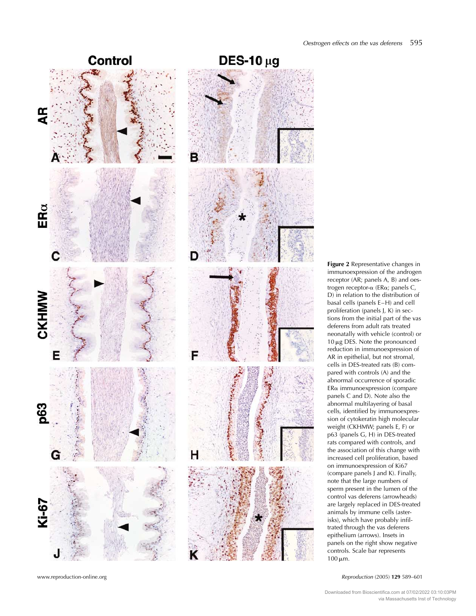



Figure 2 Representative changes in immunoexpression of the androgen receptor (AR; panels A, B) and oestrogen receptor- $\alpha$  (ER $\alpha$ ; panels C, D) in relation to the distribution of basal cells (panels E–H) and cell proliferation (panels J, K) in sections from the initial part of the vas deferens from adult rats treated neonatally with vehicle (control) or  $10 \mu$ g DES. Note the pronounced reduction in immunoexpression of AR in epithelial, but not stromal, cells in DES-treated rats (B) compared with controls (A) and the abnormal occurrence of sporadic ERa immunoexpression (compare panels C and D). Note also the abnormal multilayering of basal cells, identified by immunoexpression of cytokeratin high molecular weight (CKHMW; panels E, F) or p63 (panels G, H) in DES-treated rats compared with controls, and the association of this change with increased cell proliferation, based on immunoexpression of Ki67 (compare panels J and K). Finally, note that the large numbers of sperm present in the lumen of the control vas deferens (arrowheads) are largely replaced in DES-treated animals by immune cells (asterisks), which have probably infiltrated through the vas deferens epithelium (arrows). Insets in panels on the right show negative controls. Scale bar represents  $100 \,\mu m$ .

www.reproduction-online.org Reproduction (2005) 129 589-601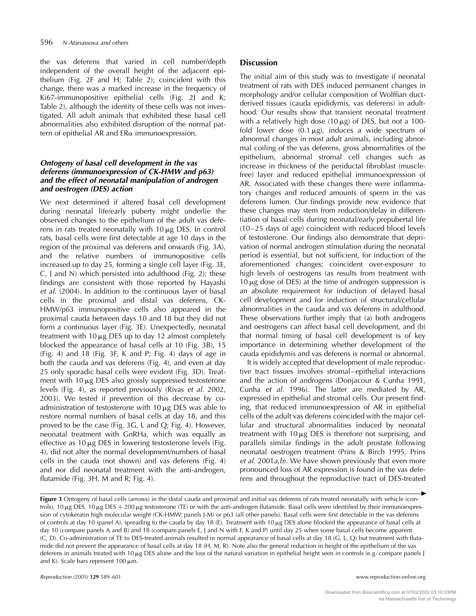the vas deferens that varied in cell number/depth independent of the overall height of the adjacent epithelium (Fig. 2F and H; Table 2); coincident with this change, there was a marked increase in the frequency of Ki67-immunopositive epithelial cells (Fig. 2J and K; Table 2), although the identity of these cells was not investigated. All adult animals that exhibited these basal cell abnormalities also exhibited disruption of the normal pattern of epithelial AR and  $ER\alpha$  immuno expression.

## Ontogeny of basal cell development in the vas deferens (immunoexpression of CK-HMW and p63) and the effect of neonatal manipulation of androgen and oestrogen (DES) action

We next determined if altered basal cell development during neonatal life/early puberty might underlie the observed changes to the epithelium of the adult vas deferens in rats treated neonatally with  $10 \mu$ g DES. In control rats, basal cells were first detectable at age 10 days in the region of the proximal vas deferens and onwards (Fig. 3A), and the relative numbers of immunopositive cells increased up to day 25, forming a single cell layer (Fig. 3E, C, J and N) which persisted into adulthood (Fig. 2); these findings are consistent with those reported by Hayashi et al. (2004). In addition to the continuous layer of basal cells in the proximal and distal vas deferens, CK-HMW/p63 immunopositive cells also appeared in the proximal cauda between days 10 and 18 but they did not form a continuous layer (Fig. 3E). Unexpectedly, neonatal treatment with  $10 \mu$ g DES up to day 12 almost completely blocked the appearance of basal cells at 10 (Fig. 3B), 15 (Fig. 4) and 18 (Fig. 3F, K and P; Fig. 4) days of age in both the cauda and vas deferens (Fig. 4), and even at day 25 only sporadic basal cells were evident (Fig. 3D). Treatment with  $10 \mu$ g DES also grossly suppressed testosterone levels (Fig. 4), as reported previously (Rivas et al. 2002, 2003). We tested if prevention of this decrease by coadministration of testosterone with  $10 \mu$ g DES was able to restore normal numbers of basal cells at day 18, and this proved to be the case (Fig. 3G, L and Q; Fig. 4). However, neonatal treatment with GnRHa, which was equally as effective as  $10 \mu$ g DES in lowering testosterone levels (Fig. 4), did not alter the normal development/numbers of basal cells in the cauda (not shown) and vas deferens (Fig. 4) and nor did neonatal treatment with the anti-androgen, flutamide (Fig. 3H, M and R; Fig. 4).

## **Discussion**

The initial aim of this study was to investigate if neonatal treatment of rats with DES induced permanent changes in morphology and/or cellular composition of Wolffian ductderived tissues (cauda epididymis, vas deferens) in adulthood. Our results show that transient neonatal treatment with a relatively high dose  $(10 \mu g)$  of DES, but not a 100fold lower dose  $(0.1 \mu g)$ , induces a wide spectrum of abnormal changes in most adult animals, including abnormal coiling of the vas deferens, gross abnormalities of the epithelium, abnormal stromal cell changes such as increase in thickness of the periductal fibroblast (musclefree) layer and reduced epithelial immunoexpression of AR. Associated with these changes there were inflammatory changes and reduced amounts of sperm in the vas deferens lumen. Our findings provide new evidence that these changes may stem from reduction/delay in differentiation of basal cells during neonatal/early prepubertal life (10–25 days of age) coincident with reduced blood levels of testosterone. Our findings also demonstrate that deprivation of normal androgen stimulation during the neonatal period is essential, but not sufficient, for induction of the aforementioned changes; coincident over-exposure to high levels of oestrogens (as results from treatment with  $10 \mu$ g dose of DES) at the time of androgen suppression is an absolute requirement for induction of delayed basal cell development and for induction of structural/cellular abnormalities in the cauda and vas deferens in adulthood. These observations further imply that (a) both androgens and oestrogens can affect basal cell development, and (b) that normal timing of basal cell development is of key importance in determining whether development of the cauda epididymis and vas deferens is normal or abnormal.

It is widely accepted that development of male reproductive tract tissues involves stromal–epithelial interactions and the action of androgens (Donjacour & Cunha 1991, Cunha et al. 1996). The latter are mediated by AR, expressed in epithelial and stromal cells. Our present finding, that reduced immunoexpression of AR in epithelial cells of the adult vas deferens coincided with the major cellular and structural abnormalities induced by neonatal treatment with  $10 \mu$ g DES is therefore not surprising, and parallels similar findings in the adult prostate following neonatal oestrogen treatment (Prins & Birch 1995, Prins et al. 2001 $a$ , $b$ ). We have shown previously that even more pronounced loss of AR expression is found in the vas deferens and throughout the reproductive tract of DES-treated

 $\blacktriangleright$ 

Figure 3 Ontogeny of basal cells (arrows) in the distal cauda and proximal and initial vas deferens of rats treated neonatally with vehicle (controls),  $10 \mu g$  DES,  $10 \mu g$  DES  $+ 200 \mu g$  testosterone (TE) or with the anti-androgen flutamide. Basal cells were identified by their immunoexpression of cytokeratin high molecular weight (CK-HMW; panels J-M) or p63 (all other panels). Basal cells were first detectable in the vas deferens of controls at day 10 (panel A), spreading to the cauda by day 18 (E). Treatment with 10 mg DES alone blocked the appearance of basal cells at day 10 (compare panels A and B) and 18 (compare panels E, J and N with F, K and P) until day 25 when some basal cells become apparent (C, D). Co-administration of TE to DES-treated animals resulted in normal appearance of basal cells at day 18 (G, L, Q) but treatment with flutamide did not prevent the appearance of basal cells at day 18 (H, M, R). Note also the general reduction in height of the epithelium of the vas deferens in animals treated with 10 µg DES alone and the loss of the natural variation in epithelial height seen in controls (e.g. compare panels J and K). Scale bars represent  $100 \mu m$ .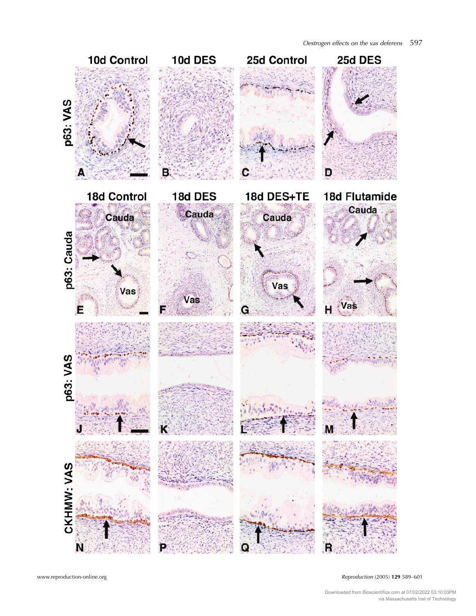

#### www.reproduction-online.org Reproduction (2005) 129 589–601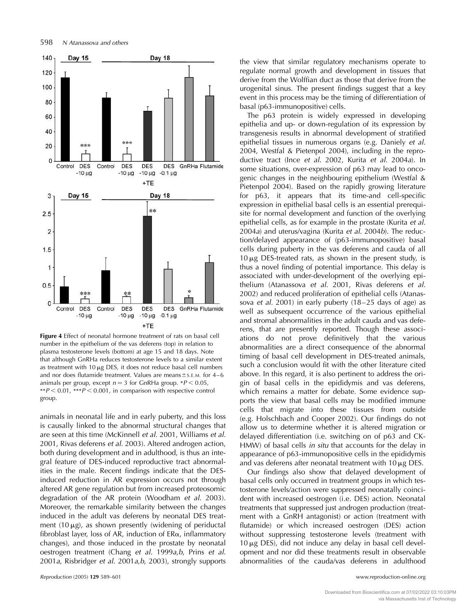

Figure 4 Effect of neonatal hormone treatment of rats on basal cell number in the epithelium of the vas deferens (top) in relation to plasma testosterone levels (bottom) at age 15 and 18 days. Note that although GnRHa reduces testosterone levels to a similar extent as treatment with 10  $\mu$ g DES, it does not reduce basal cell numbers and nor does flutamide treatment. Values are means $\pm$ s.E.M. for 4–6 animals per group, except  $n = 3$  for GnRHa group. \*  $P < 0.05$ ,  $*P < 0.01$ ,  $**P < 0.001$ , in comparison with respective control group.

animals in neonatal life and in early puberty, and this loss is causally linked to the abnormal structural changes that are seen at this time (McKinnell et al. 2001, Williams et al. 2001, Rivas deferens et al. 2003). Altered androgen action, both during development and in adulthood, is thus an integral feature of DES-induced reproductive tract abnormalities in the male. Recent findings indicate that the DESinduced reduction in AR expression occurs not through altered AR gene regulation but from increased proteosomic degradation of the AR protein (Woodham et al. 2003). Moreover, the remarkable similarity between the changes induced in the adult vas deferens by neonatal DES treatment  $(10 \mu g)$ , as shown presently (widening of periductal fibroblast layer, loss of AR, induction of  $ER\alpha$ , inflammatory changes), and those induced in the prostate by neonatal oestrogen treatment (Chang et al. 1999a,b, Prins et al. 2001a, Risbridger et al. 2001a,b, 2003), strongly supports the view that similar regulatory mechanisms operate to regulate normal growth and development in tissues that derive from the Wolffian duct as those that derive from the urogenital sinus. The present findings suggest that a key event in this process may be the timing of differentiation of basal (p63-immunopositive) cells.

The p63 protein is widely expressed in developing epithelia and up- or down-regulation of its expression by transgenesis results in abnormal development of stratified epithelial tissues in numerous organs (e.g. Daniely et al. 2004, Westfal & Pietenpol 2004), including in the reproductive tract (Ince et al. 2002, Kurita et al. 2004a). In some situations, over-expression of p63 may lead to oncogenic changes in the neighbouring epithelium (Westfal & Pietenpol 2004). Based on the rapidly growing literature for p63, it appears that its time-and cell-specific expression in epithelial basal cells is an essential prerequisite for normal development and function of the overlying epithelial cells, as for example in the prostate (Kurita et al. 2004a) and uterus/vagina (Kurita et al. 2004b). The reduction/delayed appearance of (p63-immunopositive) basal cells during puberty in the vas deferens and cauda of all  $10 \mu$ g DES-treated rats, as shown in the present study, is thus a novel finding of potential importance. This delay is associated with under-development of the overlying epithelium (Atanassova et al. 2001, Rivas deferens et al. 2002) and reduced proliferation of epithelial cells (Atanassova et al. 2001) in early puberty (18–25 days of age) as well as subsequent occurrence of the various epithelial and stromal abnormalities in the adult cauda and vas deferens, that are presently reported. Though these associations do not prove definitively that the various abnormalities are a direct consequence of the abnormal timing of basal cell development in DES-treated animals, such a conclusion would fit with the other literature cited above. In this regard, it is also pertinent to address the origin of basal cells in the epididymis and vas deferens, which remains a matter for debate. Some evidence supports the view that basal cells may be modified immune cells that migrate into these tissues from outside (e.g. Holschbach and Cooper 2002). Our findings do not allow us to determine whether it is altered migration or delayed differentiation (i.e. switching on of p63 and CK-HMW) of basal cells in situ that accounts for the delay in appearance of p63-immunopositive cells in the epididymis and vas deferens after neonatal treatment with  $10 \mu$ g DES.

Our findings also show that delayed development of basal cells only occurred in treatment groups in which testosterone levels/action were suppressed neonatally coincident with increased oestrogen (i.e. DES) action. Neonatal treatments that suppressed just androgen production (treatment with a GnRH antagonist) or action (treatment with flutamide) or which increased oestrogen (DES) action without suppressing testosterone levels (treatment with  $10 \mu$ g DES), did not induce any delay in basal cell development and nor did these treatments result in observable abnormalities of the cauda/vas deferens in adulthood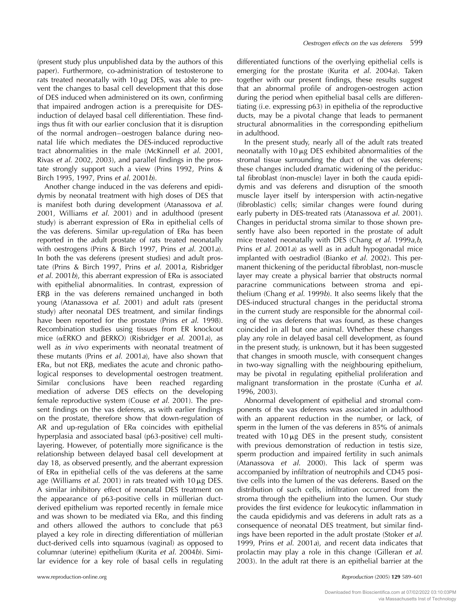(present study plus unpublished data by the authors of this paper). Furthermore, co-administration of testosterone to rats treated neonatally with  $10 \mu$ g DES, was able to prevent the changes to basal cell development that this dose of DES induced when administered on its own, confirming that impaired androgen action is a prerequisite for DESinduction of delayed basal cell differentiation. These findings thus fit with our earlier conclusion that it is disruption of the normal androgen–oestrogen balance during neonatal life which mediates the DES-induced reproductive tract abnormalities in the male (McKinnell et al. 2001, Rivas et al. 2002, 2003), and parallel findings in the prostate strongly support such a view (Prins 1992, Prins & Birch 1995, 1997, Prins et al. 2001b).

Another change induced in the vas deferens and epididymis by neonatal treatment with high doses of DES that is manifest both during development (Atanassova et al. 2001, Williams et al. 2001) and in adulthood (present study) is aberrant expression of  $ER\alpha$  in epithelial cells of the vas deferens. Similar up-regulation of  $ER\alpha$  has been reported in the adult prostate of rats treated neonatally with oestrogens (Prins & Birch 1997, Prins et al. 2001a). In both the vas deferens (present studies) and adult prostate (Prins & Birch 1997, Prins et al. 2001a, Risbridger et al. 2001b), this aberrant expression of  $ER\alpha$  is associated with epithelial abnormalities. In contrast, expression of  $ER\beta$  in the vas deferens remained unchanged in both young (Atanassova et al. 2001) and adult rats (present study) after neonatal DES treatment, and similar findings have been reported for the prostate (Prins et al. 1998). Recombination studies using tissues from ER knockout mice ( $\alpha$ ERKO and  $\beta$ ERKO) (Risbridger et al. 2001a), as well as in vivo experiments with neonatal treatment of these mutants (Prins et al. 2001a), have also shown that  $ER\alpha$ , but not  $ER\beta$ , mediates the acute and chronic pathological responses to developmental oestrogen treatment. Similar conclusions have been reached regarding mediation of adverse DES effects on the developing female reproductive system (Couse et al. 2001). The present findings on the vas deferens, as with earlier findings on the prostate, therefore show that down-regulation of AR and up-regulation of  $ER\alpha$  coincides with epithelial hyperplasia and associated basal (p63-positive) cell multilayering. However, of potentially more significance is the relationship between delayed basal cell development at day 18, as observed presently, and the aberrant expression of  $ER\alpha$  in epithelial cells of the vas deferens at the same age (Williams *et al.* 2001) in rats treated with  $10 \mu$ g DES. A similar inhibitory effect of neonatal DES treatment on the appearance of p63-positive cells in müllerian ductderived epithelium was reported recently in female mice and was shown to be mediated via  $ER\alpha$ , and this finding and others allowed the authors to conclude that p63 played a key role in directing differentiation of müllerian duct-derived cells into squamous (vaginal) as opposed to columnar (uterine) epithelium (Kurita et al. 2004b). Similar evidence for a key role of basal cells in regulating

differentiated functions of the overlying epithelial cells is emerging for the prostate (Kurita et al. 2004a). Taken together with our present findings, these results suggest that an abnormal profile of androgen-oestrogen action during the period when epithelial basal cells are differentiating (i.e. expressing p63) in epithelia of the reproductive ducts, may be a pivotal change that leads to permanent structural abnormalities in the corresponding epithelium in adulthood.

In the present study, nearly all of the adult rats treated neonatally with  $10 \mu$ g DES exhibited abnormalities of the stromal tissue surrounding the duct of the vas deferens; these changes included dramatic widening of the periductal fibroblast (non-muscle) layer in both the cauda epididymis and vas deferens and disruption of the smooth muscle layer itself by interspersion with actin-negative (fibroblastic) cells; similar changes were found during early puberty in DES-treated rats (Atanassova et al. 2001). Changes in periductal stroma similar to those shown presently have also been reported in the prostate of adult mice treated neonatally with DES (Chang et al. 1999a,b, Prins et al. 2001a) as well as in adult hypogonadal mice implanted with oestradiol (Bianko et al. 2002). This permanent thickening of the periductal fibroblast, non-muscle layer may create a physical barrier that obstructs normal paracrine communications between stroma and epithelium (Chang et al. 1999b). It also seems likely that the DES-induced structural changes in the periductal stroma in the current study are responsible for the abnormal coiling of the vas deferens that was found, as these changes coincided in all but one animal. Whether these changes play any role in delayed basal cell development, as found in the present study, is unknown, but it has been suggested that changes in smooth muscle, with consequent changes in two-way signalling with the neighbouring epithelium, may be pivotal in regulating epithelial proliferation and malignant transformation in the prostate (Cunha et al. 1996, 2003).

Abnormal development of epithelial and stromal components of the vas deferens was associated in adulthood with an apparent reduction in the number, or lack, of sperm in the lumen of the vas deferens in 85% of animals treated with  $10 \mu g$  DES in the present study, consistent with previous demonstration of reduction in testis size, sperm production and impaired fertility in such animals (Atanassova et al. 2000). This lack of sperm was accompanied by infiltration of neutrophils and CD45 positive cells into the lumen of the vas deferens. Based on the distribution of such cells, infiltration occurred from the stroma through the epithelium into the lumen. Our study provides the first evidence for leukocytic inflammation in the cauda epididymis and vas deferens in adult rats as a consequence of neonatal DES treatment, but similar findings have been reported in the adult prostate (Stoker et al. 1999, Prins et al. 2001a), and recent data indicates that prolactin may play a role in this change (Gilleran et al. 2003). In the adult rat there is an epithelial barrier at the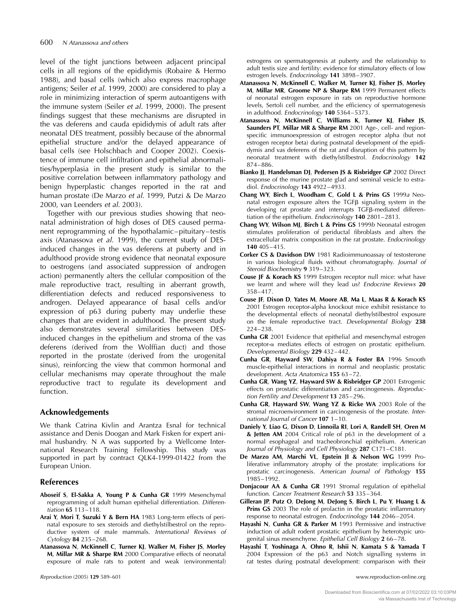level of the tight junctions between adjacent principal cells in all regions of the epididymis (Robaire & Hermo 1988), and basal cells (which also express macrophage antigens; Seiler et al. 1999, 2000) are considered to play a role in minimizing interaction of sperm autoantigens with the immune system (Seiler et al. 1999, 2000). The present findings suggest that these mechanisms are disrupted in the vas deferens and cauda epididymis of adult rats after neonatal DES treatment, possibly because of the abnormal epithelial structure and/or the delayed appearance of basal cells (see Holschbach and Cooper 2002). Coexistence of immune cell infiltration and epithelial abnormalities/hyperplasia in the present study is similar to the positive correlation between inflammatory pathology and benign hyperplastic changes reported in the rat and human prostate (De Marzo et al. 1999, Putzi & De Marzo 2000, van Leenders et al. 2003).

Together with our previous studies showing that neonatal administration of high doses of DES caused permanent reprogramming of the hypothalamic–pituitary–testis axis (Atanassova et al. 1999), the current study of DESinduced changes in the vas deferens at puberty and in adulthood provide strong evidence that neonatal exposure to oestrogens (and associated suppression of androgen action) permanently alters the cellular composition of the male reproductive tract, resulting in aberrant growth, differentiation defects and reduced responsiveness to androgen. Delayed appearance of basal cells and/or expression of p63 during puberty may underlie these changes that are evident in adulthood. The present study also demonstrates several similarities between DESinduced changes in the epithelium and stroma of the vas deferens (derived from the Wolffian duct) and those reported in the prostate (derived from the urogenital sinus), reinforcing the view that common hormonal and cellular mechanisms may operate throughout the male reproductive tract to regulate its development and function.

## Acknowledgements

We thank Catrina Kivlin and Arantza Esnal for technical assistance and Denis Doogan and Mark Fisken for expert animal husbandry. N A was supported by a Wellcome International Research Training Fellowship. This study was supported in part by contract QLK4-1999-01422 from the European Union.

#### References

- Aboseif S, El-Sakka A, Young P & Cunha GR 1999 Mesenchymal reprogramming of adult human epithelial differentiation. Differentiation **65** 113-118.
- Arai Y, Mori T, Suzuki Y & Bern HA 1983 Long-term effects of perinatal exposure to sex steroids and diethylstilbestrol on the reproductive system of male mammals. International Reviews of Cytology 84 235–268.
- Atanassova N, McKinnell C, Turner KJ, Walker M, Fisher JS, Morley M, Millar MR & Sharpe RM 2000 Comparative effects of neonatal exposure of male rats to potent and weak (environmental)

estrogens on spermatogenesis at puberty and the relationship to adult testis size and fertility: evidence for stimulatory effects of low estrogen levels. Endocrinology 141 3898–3907.

- Atanassova N, McKinnell C, Walker M, Turner KJ, Fisher JS, Morley M, Millar MR, Groome NP & Sharpe RM 1999 Permanent effects of neonatal estrogen exposure in rats on reproductive hormone levels, Sertoli cell number, and the efficiency of spermatogenesis in adulthood. Endocrinology 140 5364–5373.
- Atanassova N, McKinnell C, Williams K, Turner KJ, Fisher JS, Saunders PT, Millar MR & Sharpe RM 2001 Age-, cell- and regionspecific immunoexpression of estrogen receptor alpha (but not estrogen receptor beta) during postnatal development of the epididymis and vas deferens of the rat and disruption of this pattern by neonatal treatment with diethylstilbestrol. Endocrinology 142 874–886.
- Bianko JJ, Handelsman DJ, Pedersen JS & Risbridger GP 2002 Direct response of the murine prostate glad and seminal vesicle to estradiol. *Endocrinology* **143** 4922-4933.
- Chang WY, Birch L, Woodham C, Gold L & Prins GS 1999a Neonatal estrogen exposure alters the  $TGF\beta$  signaling system in the developing rat prostate and interrupts TGFB-mediated differentiation of the epithelium. Endocrinology 140 2801-2813.
- Chang WY, Wilson MJ, Birch L & Prins GS 1999b Neonatal estrogen stimulates proliferation of periductal fibroblasts and alters the extracellular matrix composition in the rat prostate. Endocrinology 140 405–415.
- Corker CS & Davidson DW 1981 Radioimmunoassay of testosterone in various biological fluids without chromatography. Journal of Steroid Biochemistry 9 319–323.
- Couse JF & Korach KS 1999 Estrogen receptor null mice: what have we learnt and where will they lead us? Endocrine Reviews 20 358–417.
- Couse JF, Dixon D, Yates M, Moore AB, Ma L, Maas R & Korach KS 2001 Estrogen receptor-alpha knockout mice exhibit resistance to the developmental effects of neonatal diethylstilbestrol exposure on the female reproductive tract. Developmental Biology 238 224–238.
- Cunha GR 2001 Evidence that epithelial and mesenchymal estrogen receptor-a mediates effects of estrogen on prostatic epithelium. Developmental Biology 229 432–442.
- Cunha GR, Hayward SW, Dahiya R & Foster BA 1996 Smooth muscle-epithelial interactions in normal and neoplastic prostatic development. Acta Anatomica 155 63–72.
- Cunha GR, Wang YZ, Hayward SW & Risbridger GP 2001 Estrogenic effects on prostatic differentiation and carcinogenesis. Reproduction Fertility and Development 13 285–296.
- Cunha GR, Hayward SW, Wang YZ & Ricke WA 2003 Role of the stromal microenvironment in carcinogenesis of the prostate. International Journal of Cancer 107 1–10.
- Daniely Y, Liao G, Dixon D, Linnoila RI, Lori A, Randell SH, Oren M & Jetten AM 2004 Critical role of p63 in the development of a normal esophageal and tracheobronchial epithelium. American Journal of Physiology and Cell Physiology 287 C171–C181.
- De Marzo AM, Marchi VL, Epstein JI & Nelson WG 1999 Proliferative inflammatory atrophy of the prostate: implications for prostatic carcinogenesis. American Journal of Pathology 155 1985–1992.
- Donjacour AA & Cunha GR 1991 Stromal regulation of epithelial function. Cancer Treatment Research 53 335–364.
- Gilleran JP, Putz O, DeJong M, DeJong S, Birch L, Pu Y, Huang L & Prins GS 2003 The role of prolactin in the prostatic inflammatory response to neonatal estrogen. Endocrinology 144 2046–2054.
- Hayashi N, Cunha GR & Parker M 1993 Permissive and instructive induction of adult rodent prostatic epithelium by heterotypic urogenital sinus mesenchyme. Epithelial Cell Biology  $266 - 78$ .
- Hayashi T, Yoshinaga A, Ohno R, Ishii N, Kamata S & Yamada T 2004 Expression of the p63 and Notch signalling systems in rat testes during postnatal development: comparison with their